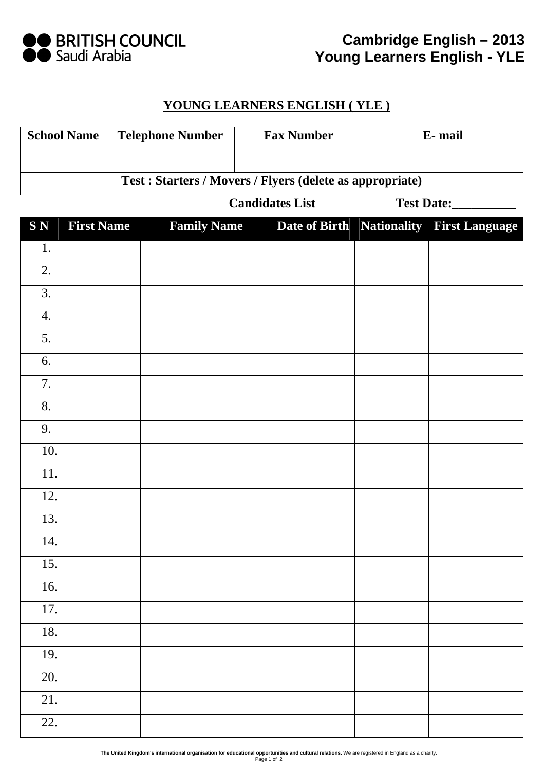

## **YOUNG LEARNERS ENGLISH ( YLE )**

| <b>School Name</b>                                        |                        | <b>Telephone Number</b> |                    | <b>Fax Number</b> |            | E-mail |                                          |  |  |
|-----------------------------------------------------------|------------------------|-------------------------|--------------------|-------------------|------------|--------|------------------------------------------|--|--|
|                                                           |                        |                         |                    |                   |            |        |                                          |  |  |
| Test : Starters / Movers / Flyers (delete as appropriate) |                        |                         |                    |                   |            |        |                                          |  |  |
|                                                           | <b>Candidates List</b> |                         |                    |                   | Test Date: |        |                                          |  |  |
| <b>SN</b>                                                 | <b>First Name</b>      |                         | <b>Family Name</b> |                   |            |        | Date of Birth Nationality First Language |  |  |
| 1.                                                        |                        |                         |                    |                   |            |        |                                          |  |  |
| 2.                                                        |                        |                         |                    |                   |            |        |                                          |  |  |
| 3.                                                        |                        |                         |                    |                   |            |        |                                          |  |  |
| 4.                                                        |                        |                         |                    |                   |            |        |                                          |  |  |
| 5.                                                        |                        |                         |                    |                   |            |        |                                          |  |  |
| 6.                                                        |                        |                         |                    |                   |            |        |                                          |  |  |
| 7.                                                        |                        |                         |                    |                   |            |        |                                          |  |  |
| 8.                                                        |                        |                         |                    |                   |            |        |                                          |  |  |
| 9.                                                        |                        |                         |                    |                   |            |        |                                          |  |  |
| 10.                                                       |                        |                         |                    |                   |            |        |                                          |  |  |
| 11.                                                       |                        |                         |                    |                   |            |        |                                          |  |  |
| 12.                                                       |                        |                         |                    |                   |            |        |                                          |  |  |
| 13.                                                       |                        |                         |                    |                   |            |        |                                          |  |  |
| 14.                                                       |                        |                         |                    |                   |            |        |                                          |  |  |
| 15.                                                       |                        |                         |                    |                   |            |        |                                          |  |  |
| 16.                                                       |                        |                         |                    |                   |            |        |                                          |  |  |
| 17.                                                       |                        |                         |                    |                   |            |        |                                          |  |  |
| 18.                                                       |                        |                         |                    |                   |            |        |                                          |  |  |
| 19.                                                       |                        |                         |                    |                   |            |        |                                          |  |  |
| 20.                                                       |                        |                         |                    |                   |            |        |                                          |  |  |
| 21.                                                       |                        |                         |                    |                   |            |        |                                          |  |  |
| 22.                                                       |                        |                         |                    |                   |            |        |                                          |  |  |